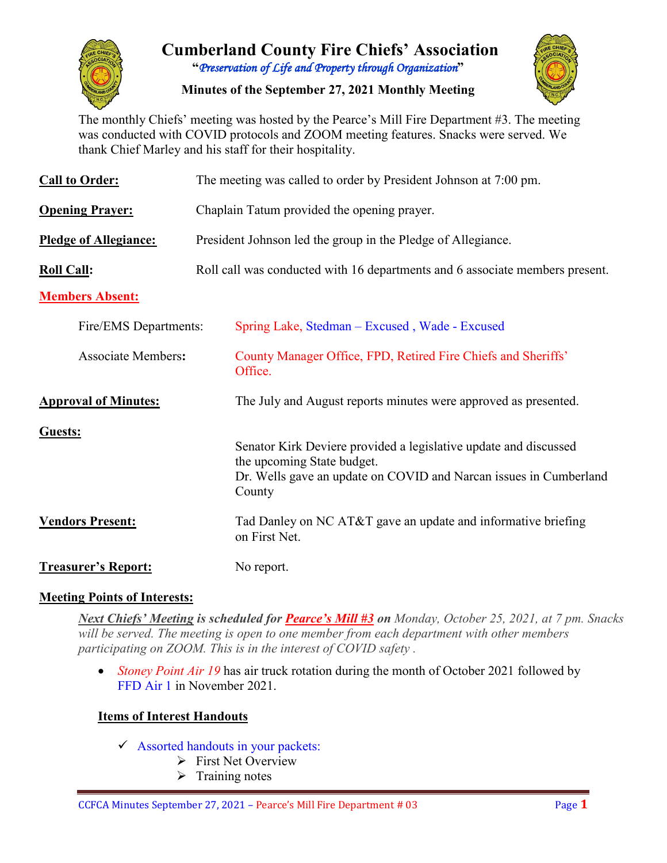

# **Cumberland County Fire Chiefs' Association "***Preservation of Life and Property through Organization***"**

**Minutes of the September 27, 2021 Monthly Meeting**



The monthly Chiefs' meeting was hosted by the Pearce's Mill Fire Department #3. The meeting was conducted with COVID protocols and ZOOM meeting features. Snacks were served. We thank Chief Marley and his staff for their hospitality.

| <b>Call to Order:</b>        |                                             | The meeting was called to order by President Johnson at 7:00 pm.                                                                                                              |  |  |  |  |  |  |  |
|------------------------------|---------------------------------------------|-------------------------------------------------------------------------------------------------------------------------------------------------------------------------------|--|--|--|--|--|--|--|
| <b>Opening Prayer:</b>       | Chaplain Tatum provided the opening prayer. |                                                                                                                                                                               |  |  |  |  |  |  |  |
| <b>Pledge of Allegiance:</b> |                                             | President Johnson led the group in the Pledge of Allegiance.                                                                                                                  |  |  |  |  |  |  |  |
| <b>Roll Call:</b>            |                                             | Roll call was conducted with 16 departments and 6 associate members present.                                                                                                  |  |  |  |  |  |  |  |
| <b>Members Absent:</b>       |                                             |                                                                                                                                                                               |  |  |  |  |  |  |  |
| Fire/EMS Departments:        |                                             | Spring Lake, Stedman – Excused, Wade - Excused                                                                                                                                |  |  |  |  |  |  |  |
| <b>Associate Members:</b>    |                                             | County Manager Office, FPD, Retired Fire Chiefs and Sheriffs'<br>Office.                                                                                                      |  |  |  |  |  |  |  |
| <b>Approval of Minutes:</b>  |                                             | The July and August reports minutes were approved as presented.                                                                                                               |  |  |  |  |  |  |  |
| Guests:                      |                                             | Senator Kirk Deviere provided a legislative update and discussed<br>the upcoming State budget.<br>Dr. Wells gave an update on COVID and Narcan issues in Cumberland<br>County |  |  |  |  |  |  |  |
| <b>Vendors Present:</b>      |                                             | Tad Danley on NC AT&T gave an update and informative briefing<br>on First Net.                                                                                                |  |  |  |  |  |  |  |
| <b>Treasurer's Report:</b>   |                                             | No report.                                                                                                                                                                    |  |  |  |  |  |  |  |

## **Meeting Points of Interests:**

*Next Chiefs' Meeting is scheduled for Pearce's Mill #3 on Monday, October 25, 2021, at 7 pm. Snacks will be served. The meeting is open to one member from each department with other members participating on ZOOM. This is in the interest of COVID safety .* 

• *Stoney Point Air 19* has air truck rotation during the month of October 2021 followed by FFD Air 1 in November 2021.

## **Items of Interest Handouts**

- $\checkmark$  Assorted handouts in your packets:
	- $\triangleright$  First Net Overview
	- $\triangleright$  Training notes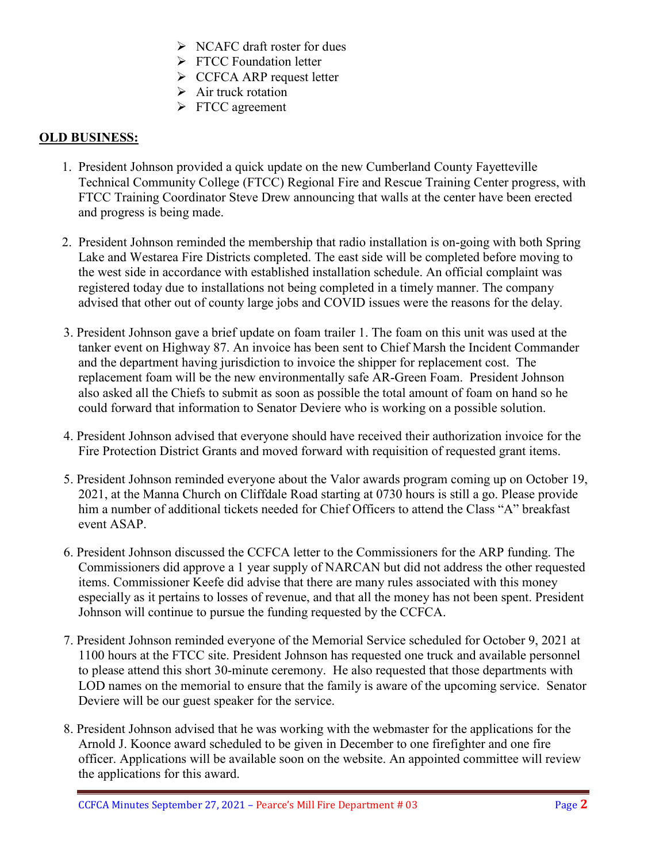- $\triangleright$  NCAFC draft roster for dues
- **FTCC Foundation letter**
- $\triangleright$  CCFCA ARP request letter
- $\triangleright$  Air truck rotation
- FTCC agreement

#### **OLD BUSINESS:**

- 1. President Johnson provided a quick update on the new Cumberland County Fayetteville Technical Community College (FTCC) Regional Fire and Rescue Training Center progress, with FTCC Training Coordinator Steve Drew announcing that walls at the center have been erected and progress is being made.
- 2. President Johnson reminded the membership that radio installation is on-going with both Spring Lake and Westarea Fire Districts completed. The east side will be completed before moving to the west side in accordance with established installation schedule. An official complaint was registered today due to installations not being completed in a timely manner. The company advised that other out of county large jobs and COVID issues were the reasons for the delay.
- 3. President Johnson gave a brief update on foam trailer 1. The foam on this unit was used at the tanker event on Highway 87. An invoice has been sent to Chief Marsh the Incident Commander and the department having jurisdiction to invoice the shipper for replacement cost. The replacement foam will be the new environmentally safe AR-Green Foam. President Johnson also asked all the Chiefs to submit as soon as possible the total amount of foam on hand so he could forward that information to Senator Deviere who is working on a possible solution.
- 4. President Johnson advised that everyone should have received their authorization invoice for the Fire Protection District Grants and moved forward with requisition of requested grant items.
- 5. President Johnson reminded everyone about the Valor awards program coming up on October 19, 2021, at the Manna Church on Cliffdale Road starting at 0730 hours is still a go. Please provide him a number of additional tickets needed for Chief Officers to attend the Class "A" breakfast event ASAP.
- 6. President Johnson discussed the CCFCA letter to the Commissioners for the ARP funding. The Commissioners did approve a 1 year supply of NARCAN but did not address the other requested items. Commissioner Keefe did advise that there are many rules associated with this money especially as it pertains to losses of revenue, and that all the money has not been spent. President Johnson will continue to pursue the funding requested by the CCFCA.
- 7. President Johnson reminded everyone of the Memorial Service scheduled for October 9, 2021 at 1100 hours at the FTCC site. President Johnson has requested one truck and available personnel to please attend this short 30-minute ceremony. He also requested that those departments with LOD names on the memorial to ensure that the family is aware of the upcoming service. Senator Deviere will be our guest speaker for the service.
- 8. President Johnson advised that he was working with the webmaster for the applications for the Arnold J. Koonce award scheduled to be given in December to one firefighter and one fire officer. Applications will be available soon on the website. An appointed committee will review the applications for this award.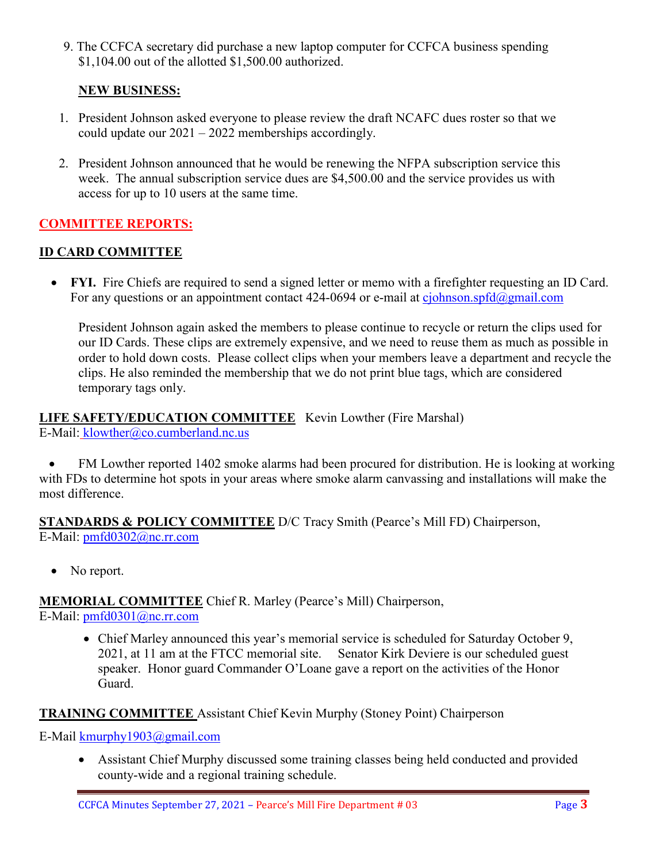9. The CCFCA secretary did purchase a new laptop computer for CCFCA business spending \$1,104.00 out of the allotted \$1,500.00 authorized.

#### **NEW BUSINESS:**

- 1. President Johnson asked everyone to please review the draft NCAFC dues roster so that we could update our 2021 – 2022 memberships accordingly.
- 2. President Johnson announced that he would be renewing the NFPA subscription service this week. The annual subscription service dues are \$4,500.00 and the service provides us with access for up to 10 users at the same time.

## **COMMITTEE REPORTS:**

#### **ID CARD COMMITTEE**

• **FYI.** Fire Chiefs are required to send a signed letter or memo with a firefighter requesting an ID Card. For any questions or an appointment contact  $424-0694$  or e-mail at [cjohnson.spfd@gmail.com](mailto:cjohnson.spfd@gmail.com)

President Johnson again asked the members to please continue to recycle or return the clips used for our ID Cards. These clips are extremely expensive, and we need to reuse them as much as possible in order to hold down costs. Please collect clips when your members leave a department and recycle the clips. He also reminded the membership that we do not print blue tags, which are considered temporary tags only.

#### **LIFE SAFETY/EDUCATION COMMITTEE** Kevin Lowther (Fire Marshal) E-Mail: [klowther@co.cumberland.nc.us](mailto:klowther@co.cumberland.nc.us)

• FM Lowther reported 1402 smoke alarms had been procured for distribution. He is looking at working with FDs to determine hot spots in your areas where smoke alarm canvassing and installations will make the most difference.

**STANDARDS & POLICY COMMITTEE** D/C Tracy Smith (Pearce's Mill FD) Chairperson, E-Mail: [pmfd0302@nc.rr.com](mailto:pmfd0302@nc.rr.com)

• No report.

**MEMORIAL COMMITTEE** Chief R. Marley (Pearce's Mill) Chairperson, E-Mail: [pmfd0301@nc.rr.com](mailto:pmfd0301@nc.rr.com)

> • Chief Marley announced this year's memorial service is scheduled for Saturday October 9, 2021, at 11 am at the FTCC memorial site. Senator Kirk Deviere is our scheduled guest speaker. Honor guard Commander O'Loane gave a report on the activities of the Honor Guard.

#### **TRAINING COMMITTEE** Assistant Chief Kevin Murphy (Stoney Point) Chairperson

E-Mail [kmurphy1903@gmail.com](mailto:kmurphy1903@gmail.com)

• Assistant Chief Murphy discussed some training classes being held conducted and provided county-wide and a regional training schedule.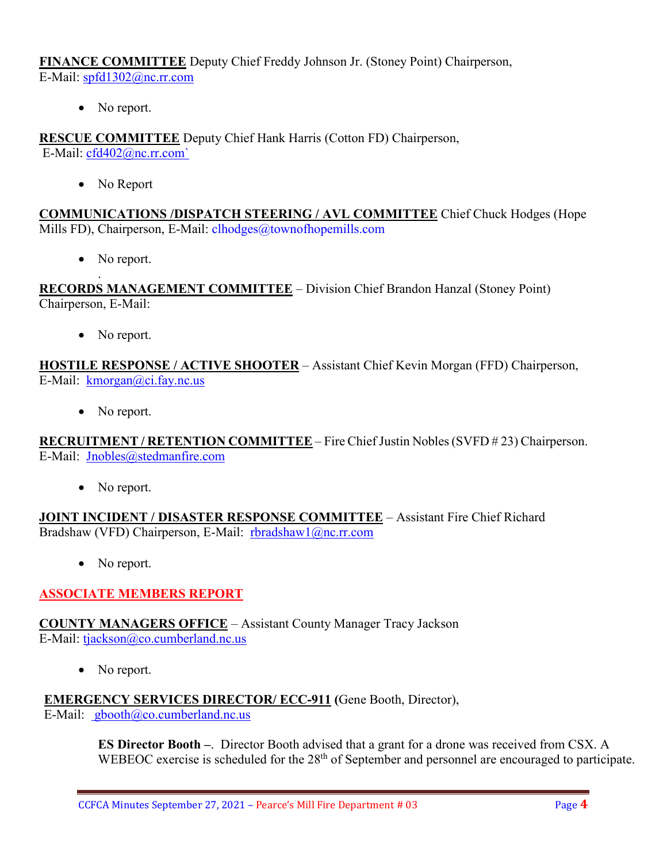**FINANCE COMMITTEE** Deputy Chief Freddy Johnson Jr. (Stoney Point) Chairperson, E-Mail: [spfd1302@nc.rr.com](mailto:spfd1302@nc.rr.com)

• No report.

**RESCUE COMMITTEE** Deputy Chief Hank Harris (Cotton FD) Chairperson, E-Mail: [cfd402@nc.rr.com`](mailto:cfd402@nc.rr.com)

• No Report

**COMMUNICATIONS /DISPATCH STEERING / AVL COMMITTEE** Chief Chuck Hodges (Hope Mills FD), Chairperson, E-Mail: clhodges@townofhopemills.com

• No report.

. **RECORDS MANAGEMENT COMMITTEE** – Division Chief Brandon Hanzal (Stoney Point) Chairperson, E-Mail:

• No report.

**HOSTILE RESPONSE / ACTIVE SHOOTER** – Assistant Chief Kevin Morgan (FFD) Chairperson, E-Mail: [kmorgan@ci.fay.nc.us](mailto:kmorgan@ci.fay.nc.us)

• No report.

**RECRUITMENT / RETENTION COMMITTEE** – Fire Chief Justin Nobles (SVFD # 23) Chairperson. E-Mail: [Jnobles@stedmanfire.com](mailto:Jnobles@stedmanfire.com)

No report.

**JOINT INCIDENT / DISASTER RESPONSE COMMITTEE** – Assistant Fire Chief Richard Bradshaw (VFD) Chairperson, E-Mail: [rbradshaw1@nc.rr.com](mailto:rbradshaw1@nc.rr.com)

• No report.

## **ASSOCIATE MEMBERS REPORT**

**COUNTY MANAGERS OFFICE** – Assistant County Manager Tracy Jackson E-Mail: [tjackson@co.cumberland.nc.us](mailto:tjackson@co.cumberland.nc.us)

• No report.

**EMERGENCY SERVICES DIRECTOR/ ECC-911 (**Gene Booth, Director),

E-Mail:  $\text{gbooth}(\partial \text{co}.\text{cumberland}.\text{nc.us})$ 

**ES Director Booth –**. Director Booth advised that a grant for a drone was received from CSX. A WEBEOC exercise is scheduled for the 28<sup>th</sup> of September and personnel are encouraged to participate.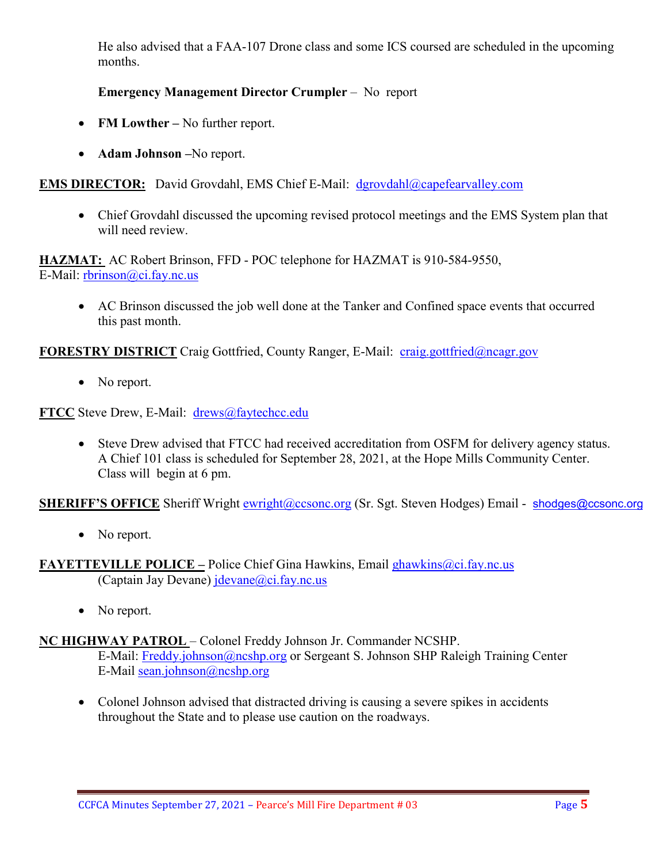He also advised that a FAA-107 Drone class and some ICS coursed are scheduled in the upcoming months.

## **Emergency Management Director Crumpler** – No report

- **FM Lowther –** No further report.
- **Adam Johnson –**No report.

**EMS DIRECTOR:** David Grovdahl, EMS Chief E-Mail: [dgrovdahl@capefearvalley.com](mailto:dgrovdahl@capefearvalley.com)

• Chief Grovdahl discussed the upcoming revised protocol meetings and the EMS System plan that will need review.

**HAZMAT:** AC Robert Brinson, FFD - POC telephone for HAZMAT is 910-584-9550, E-Mail: <u>rbrinson@ci.fay.nc.us</u>

• AC Brinson discussed the job well done at the Tanker and Confined space events that occurred this past month.

**FORESTRY DISTRICT** Craig Gottfried, County Ranger, E-Mail: [craig.gottfried@ncagr.gov](mailto:craig.gottfried@ncagr.gov)

• No report.

**FTCC** Steve Drew, E-Mail: [drews@faytechcc.edu](mailto:drews@faytechcc.edu)

• Steve Drew advised that FTCC had received accreditation from OSFM for delivery agency status. A Chief 101 class is scheduled for September 28, 2021, at the Hope Mills Community Center. Class will begin at 6 pm.

**SHERIFF'S OFFICE** Sheriff Wright [ewright@ccsonc.org](mailto:ewright@ccsonc.org) (Sr. Sgt. Steven Hodges) Email - [shodges@ccsonc.org](mailto:shodges@ccsonc.org)

• No report.

**FAYETTEVILLE POLICE –** Police Chief Gina Hawkins, Email [ghawkins@ci.fay.nc.us](mailto:ghawkins@ci.fay.nc.us)  (Captain Jay Devane)  $idevane@ci.fay.nc.us$ 

• No report.

## **NC HIGHWAY PATROL** – Colonel Freddy Johnson Jr. Commander NCSHP.

E-Mail: [Freddy.johnson@ncshp.org](mailto:Freddy.johnson@ncshp.org) or Sergeant S. Johnson SHP Raleigh Training Center E-Mail [sean.johnson@ncshp.org](mailto:sean.johnson@ncshp.org)

• Colonel Johnson advised that distracted driving is causing a severe spikes in accidents throughout the State and to please use caution on the roadways.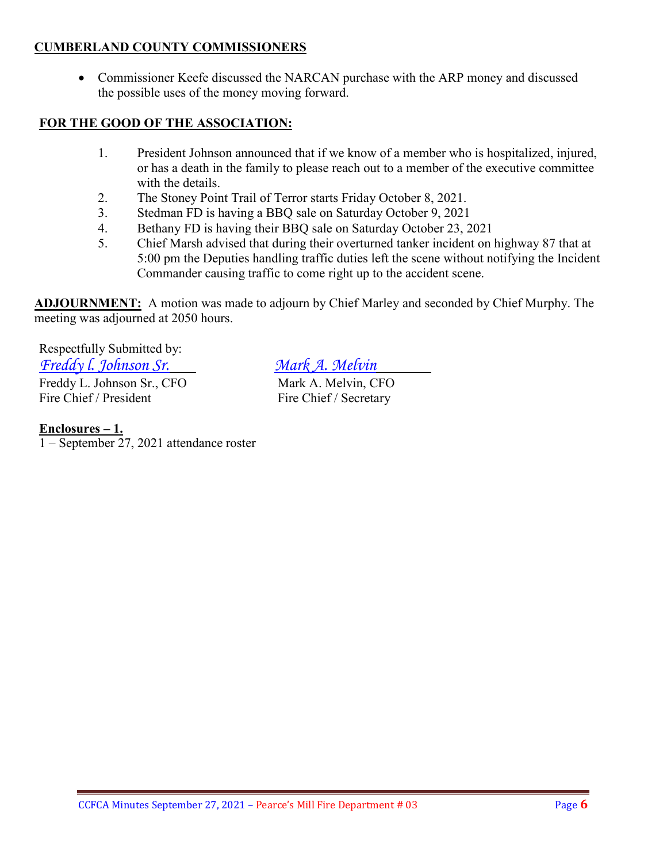#### **CUMBERLAND COUNTY COMMISSIONERS**

• Commissioner Keefe discussed the NARCAN purchase with the ARP money and discussed the possible uses of the money moving forward.

## **FOR THE GOOD OF THE ASSOCIATION:**

- 1. President Johnson announced that if we know of a member who is hospitalized, injured, or has a death in the family to please reach out to a member of the executive committee with the details.
- 2. The Stoney Point Trail of Terror starts Friday October 8, 2021.
- 3. Stedman FD is having a BBQ sale on Saturday October 9, 2021
- 4. Bethany FD is having their BBQ sale on Saturday October 23, 2021
- 5. Chief Marsh advised that during their overturned tanker incident on highway 87 that at 5:00 pm the Deputies handling traffic duties left the scene without notifying the Incident Commander causing traffic to come right up to the accident scene.

**ADJOURNMENT:** A motion was made to adjourn by Chief Marley and seconded by Chief Murphy. The meeting was adjourned at 2050 hours.

Respectfully Submitted by: *Freddy l. Johnson Sr. Mark A. Melvin* Freddy L. Johnson Sr., CFO Mark A. Melvin, CFO Fire Chief / President Fire Chief / Secretary

#### **Enclosures – 1.**

1 – September 27, 2021 attendance roster